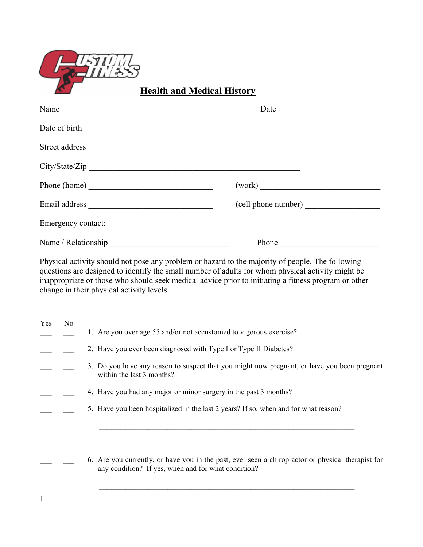

1

**Health and Medical History** 

| Name                | Date                |
|---------------------|---------------------|
|                     |                     |
|                     |                     |
| City/State/Zip      |                     |
| Phone (home)        |                     |
|                     | (cell phone number) |
| Emergency contact:  |                     |
| Name / Relationship | Phone               |

Physical activity should not pose any problem or hazard to the majority of people. The following questions are designed to identify the small number of adults for whom physical activity might be inappropriate or those who should seek medical advice prior to initiating a fitness program or other change in their physical activity levels.

| Yes | No |                                                                                                                          |
|-----|----|--------------------------------------------------------------------------------------------------------------------------|
|     |    | 1. Are you over age 55 and/or not accustomed to vigorous exercise?                                                       |
|     |    | 2. Have you ever been diagnosed with Type I or Type II Diabetes?                                                         |
|     |    | 3. Do you have any reason to suspect that you might now pregnant, or have you been pregnant<br>within the last 3 months? |
|     |    | 4. Have you had any major or minor surgery in the past 3 months?                                                         |
|     |    | 5. Have you been hospitalized in the last 2 years? If so, when and for what reason?                                      |
|     |    |                                                                                                                          |
|     |    |                                                                                                                          |
|     |    |                                                                                                                          |

 \_\_\_ \_\_\_ 6. Are you currently, or have you in the past, ever seen a chiropractor or physical therapist for any condition? If yes, when and for what condition?

\_\_\_\_\_\_\_\_\_\_\_\_\_\_\_\_\_\_\_\_\_\_\_\_\_\_\_\_\_\_\_\_\_\_\_\_\_\_\_\_\_\_\_\_\_\_\_\_\_\_\_\_\_\_\_\_\_\_\_\_\_\_\_\_\_\_\_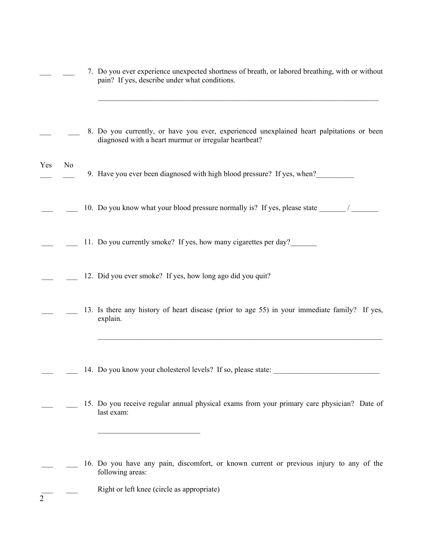|                |                | 7. Do you ever experience unexpected shortness of breath, or labored breathing, with or without<br>pain? If yes, describe under what conditions.          |
|----------------|----------------|-----------------------------------------------------------------------------------------------------------------------------------------------------------|
|                |                | 8. Do you currently, or have you ever, experienced unexplained heart palpitations or been<br>diagnosed with a heart murmur or irregular heartbeat?        |
| Yes            | N <sub>0</sub> | 9. Have you ever been diagnosed with high blood pressure? If yes, when?                                                                                   |
|                |                | 10. Do you know what your blood pressure normally is? If yes, please state _____                                                                          |
|                |                | 11. Do you currently smoke? If yes, how many cigarettes per day?                                                                                          |
|                |                | 12. Did you ever smoke? If yes, how long ago did you quit?                                                                                                |
|                |                | 13. Is there any history of heart disease (prior to age 55) in your immediate family? If yes,<br>explain.                                                 |
|                |                | 14. Do you know your cholesterol levels? If so, please state:                                                                                             |
|                |                | 15. Do you receive regular annual physical exams from your primary care physician? Date of<br>last exam:                                                  |
| $\overline{2}$ |                | 16. Do you have any pain, discomfort, or known current or previous injury to any of the<br>following areas:<br>Right or left knee (circle as appropriate) |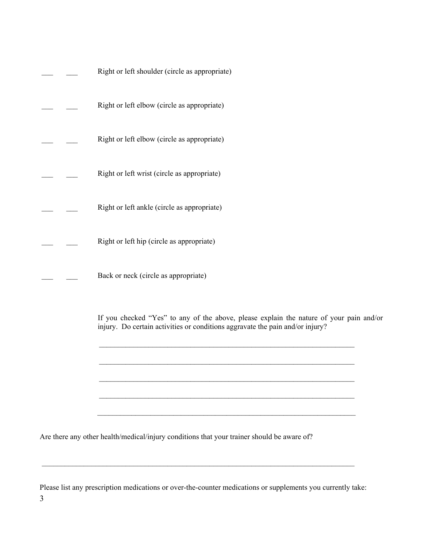|  | Right or left shoulder (circle as appropriate)                                                                                                                           |
|--|--------------------------------------------------------------------------------------------------------------------------------------------------------------------------|
|  | Right or left elbow (circle as appropriate)                                                                                                                              |
|  | Right or left elbow (circle as appropriate)                                                                                                                              |
|  | Right or left wrist (circle as appropriate)                                                                                                                              |
|  | Right or left ankle (circle as appropriate)                                                                                                                              |
|  | Right or left hip (circle as appropriate)                                                                                                                                |
|  | Back or neck (circle as appropriate)                                                                                                                                     |
|  | If you checked "Yes" to any of the above, please explain the nature of your pain and/or<br>injury. Do certain activities or conditions aggravate the pain and/or injury? |
|  |                                                                                                                                                                          |
|  |                                                                                                                                                                          |
|  | Are there any other health/medical/injury conditions that your trainer should be aware of?                                                                               |

3 Please list any prescription medications or over-the-counter medications or supplements you currently take:

 $\mathcal{L}_\mathcal{L} = \{ \mathcal{L}_\mathcal{L} = \{ \mathcal{L}_\mathcal{L} = \{ \mathcal{L}_\mathcal{L} = \{ \mathcal{L}_\mathcal{L} = \{ \mathcal{L}_\mathcal{L} = \{ \mathcal{L}_\mathcal{L} = \{ \mathcal{L}_\mathcal{L} = \{ \mathcal{L}_\mathcal{L} = \{ \mathcal{L}_\mathcal{L} = \{ \mathcal{L}_\mathcal{L} = \{ \mathcal{L}_\mathcal{L} = \{ \mathcal{L}_\mathcal{L} = \{ \mathcal{L}_\mathcal{L} = \{ \mathcal{L}_\mathcal{$